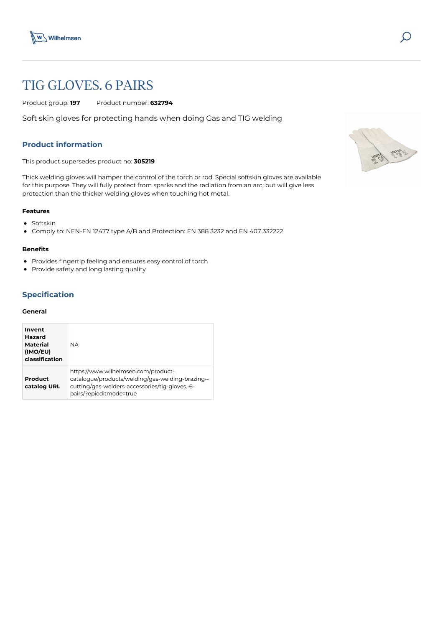

# TIG GLOVES. 6 PAIRS

Product group: **197** Product number: **632794**

Soft skin gloves for protecting hands when doing Gas and TIG welding

## **Product information**

This product supersedes product no: **305219**

Thick welding gloves will hamper the control of the torch or rod. Special softskin gloves are available for this purpose. They will fully protect from sparks and the radiation from an arc, but will give less protection than the thicker welding gloves when touching hot metal.

#### **Features**

- Softskin
- Comply to: NEN-EN 12477 type A/B and Protection: EN 388 3232 and EN 407 332222

#### **Benefits**

- Provides fingertip feeling and ensures easy control of torch
- Provide safety and long lasting quality

## **Specification**

#### **General**

| Invent<br>Hazard<br><b>Material</b><br>(IMO/EU)<br>classification | <b>NA</b>                                                                                                                                                            |
|-------------------------------------------------------------------|----------------------------------------------------------------------------------------------------------------------------------------------------------------------|
| Product<br>catalog URL                                            | https://www.wilhelmsen.com/product-<br>catalogue/products/welding/gas-welding-brazing--<br>cutting/gas-welders-accessories/tig-gloves.-6-<br>pairs/?epieditmode=true |

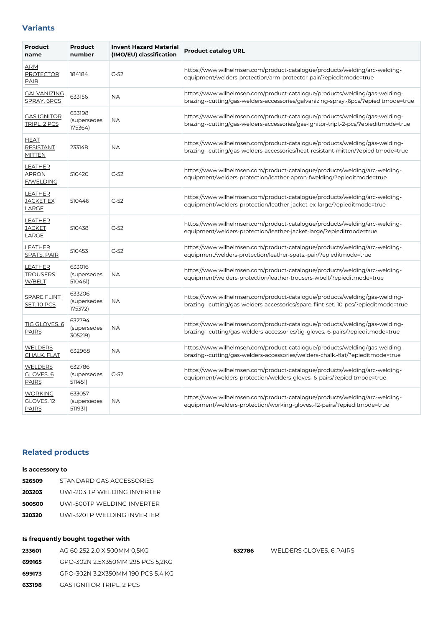## **Variants**

| Product<br>name                                  | <b>Product</b><br>number         | <b>Invent Hazard Material</b><br>(IMO/EU) classification | <b>Product catalog URL</b>                                                                                                                                        |
|--------------------------------------------------|----------------------------------|----------------------------------------------------------|-------------------------------------------------------------------------------------------------------------------------------------------------------------------|
| ARM<br><b>PROTECTOR</b><br><b>PAIR</b>           | 184184                           | $C-52$                                                   | https://www.wilhelmsen.com/product-catalogue/products/welding/arc-welding-<br>equipment/welders-protection/arm-protector-pair/?epieditmode=true                   |
| <b>GALVANIZING</b><br>SPRAY. 6PCS                | 633156                           | ΝA                                                       | https://www.wilhelmsen.com/product-catalogue/products/welding/gas-welding-<br>brazing--cutting/gas-welders-accessories/galvanizing-spray.-6pcs/?epieditmode=true  |
| <b>GAS IGNITOR</b><br>TRIPL. 2 PCS               | 633198<br>(supersedes<br>175364) | NΑ                                                       | https://www.wilhelmsen.com/product-catalogue/products/welding/gas-welding-<br>brazing--cutting/gas-welders-accessories/gas-ignitor-tripl.-2-pcs/?epieditmode=true |
| <b>HEAT</b><br><b>RESISTANT</b><br><b>MITTEN</b> | 233148                           | <b>NA</b>                                                | https://www.wilhelmsen.com/product-catalogue/products/welding/gas-welding-<br>brazing--cutting/gas-welders-accessories/heat-resistant-mitten/?epieditmode=true    |
| <b>LEATHER</b><br>APRON<br>F/WELDING             | 510420                           | $C-52$                                                   | https://www.wilhelmsen.com/product-catalogue/products/welding/arc-welding-<br>equipment/welders-protection/leather-apron-fwelding/?epieditmode=true               |
| <b>LEATHER</b><br><b>JACKET EX</b><br>LARGE      | 510446                           | $C-52$                                                   | https://www.wilhelmsen.com/product-catalogue/products/welding/arc-welding-<br>equipment/welders-protection/leather-jacket-ex-large/?epieditmode=true              |
| <b>LEATHER</b><br><b>JACKET</b><br><b>LARGE</b>  | 510438                           | $C-52$                                                   | https://www.wilhelmsen.com/product-catalogue/products/welding/arc-welding-<br>equipment/welders-protection/leather-jacket-large/?epieditmode=true                 |
| <b>LEATHER</b><br><b>SPATS. PAIR</b>             | 510453                           | $C-52$                                                   | https://www.wilhelmsen.com/product-catalogue/products/welding/arc-welding-<br>equipment/welders-protection/leather-spats.-pair/?epieditmode=true                  |
| <b>LEATHER</b><br><b>TROUSERS</b><br>W/BELT      | 633016<br>(supersedes<br>510461) | NΑ                                                       | https://www.wilhelmsen.com/product-catalogue/products/welding/arc-welding-<br>equipment/welders-protection/leather-trousers-wbelt/?epieditmode=true               |
| <b>SPARE FLINT</b><br>SET. 10 PCS                | 633206<br>(supersedes<br>175372) | NΑ                                                       | https://www.wilhelmsen.com/product-catalogue/products/welding/gas-welding-<br>brazing--cutting/gas-welders-accessories/spare-flint-set.-10-pcs/?epieditmode=true  |
| <b>TIG GLOVES. 6</b><br>PAIRS                    | 632794<br>(supersedes<br>305219) | <b>NA</b>                                                | https://www.wilhelmsen.com/product-catalogue/products/welding/gas-welding-<br>brazing--cutting/gas-welders-accessories/tig-gloves.-6-pairs/?epieditmode=true      |
| <b>WELDERS</b><br><b>CHALK. FLAT</b>             | 632968                           | <b>NA</b>                                                | https://www.wilhelmsen.com/product-catalogue/products/welding/gas-welding-<br>brazing--cutting/gas-welders-accessories/welders-chalk.-flat/?epieditmode=true      |
| <b>WELDERS</b><br>GLOVES. 6<br><b>PAIRS</b>      | 632786<br>(supersedes<br>511451) | $C-52$                                                   | https://www.wilhelmsen.com/product-catalogue/products/welding/arc-welding-<br>equipment/welders-protection/welders-gloves.-6-pairs/?epieditmode=true              |
| <b>WORKING</b><br>GLOVES. 12<br><b>PAIRS</b>     | 633057<br>(supersedes<br>511931) | <b>NA</b>                                                | https://www.wilhelmsen.com/product-catalogue/products/welding/arc-welding-<br>equipment/welders-protection/working-gloves.-12-pairs/?epieditmode=true             |

## **Related products**

#### **Is accessory to**

| 526509 | STANDARD GAS ACCESSORIES    |
|--------|-----------------------------|
| 203203 | UWI-203 TP WELDING INVERTER |
| 500500 | UWI-500TP WELDING INVERTER  |
| 320320 | UWI-320TP WELDING INVERTER  |

## **Is frequently bought together with**

- **233601** [AG 60 252 2.0 X 500MM 0,5KG](https://www.wilhelmsen.com/product-catalogue/products/welding/gas-welding-brazing--cutting/gas-welding-and-brazing-consumables/ag-60-252-2.0-x-500mm-05kg/?epieditmode=true)
- **699165** [GPO-302N 2.5X350MM 295 PCS 5,2KG](https://www.wilhelmsen.com/product-catalogue/products/welding/arc-welding-consumables-and-storing/coated-stick-electrodes/gpo-302n-2.5x350mm-295-pcs-52kg/?epieditmode=true)
- **699173** [GPO-302N 3.2X350MM 190 PCS 5.4 KG](https://www.wilhelmsen.com/product-catalogue/products/welding/arc-welding-consumables-and-storing/coated-stick-electrodes/gpo-302n-3.2x350mm-190-pcs-5.4-kg/?epieditmode=true)
- **633198** [GAS IGNITOR TRIPL. 2 PCS](https://www.wilhelmsen.com/product-catalogue/products/welding/gas-welding-brazing--cutting/gas-welders-accessories/gas-ignitor-tripl.-2-pcs/?epieditmode=true)

**632786** [WELDERS GLOVES. 6 PAIRS](https://www.wilhelmsen.com/product-catalogue/products/welding/arc-welding-equipment/welders-protection/welders-gloves.-6-pairs/?epieditmode=true)